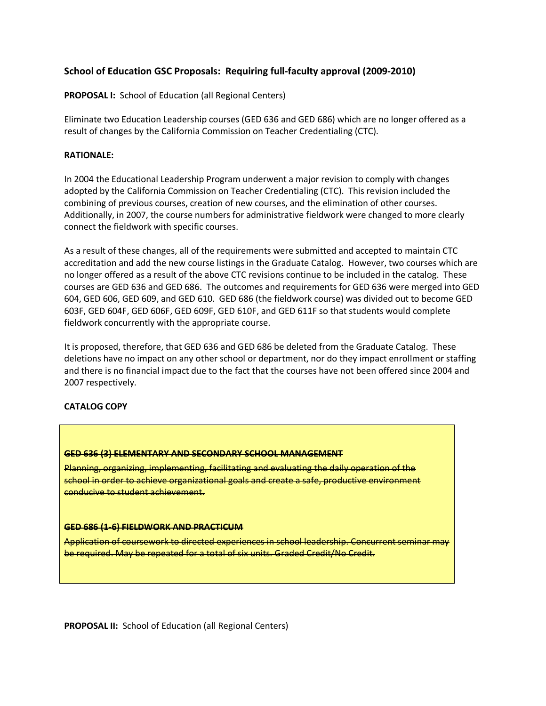## **School of Education GSC Proposals: Requiring full-faculty approval (2009-2010)**

**PROPOSAL I:** School of Education (all Regional Centers)

Eliminate two Education Leadership courses (GED 636 and GED 686) which are no longer offered as a result of changes by the California Commission on Teacher Credentialing (CTC).

#### **RATIONALE:**

In 2004 the Educational Leadership Program underwent a major revision to comply with changes adopted by the California Commission on Teacher Credentialing (CTC). This revision included the combining of previous courses, creation of new courses, and the elimination of other courses. Additionally, in 2007, the course numbers for administrative fieldwork were changed to more clearly connect the fieldwork with specific courses.

As a result of these changes, all of the requirements were submitted and accepted to maintain CTC accreditation and add the new course listings in the Graduate Catalog. However, two courses which are no longer offered as a result of the above CTC revisions continue to be included in the catalog. These courses are GED 636 and GED 686. The outcomes and requirements for GED 636 were merged into GED 604, GED 606, GED 609, and GED 610. GED 686 (the fieldwork course) was divided out to become GED 603F, GED 604F, GED 606F, GED 609F, GED 610F, and GED 611F so that students would complete fieldwork concurrently with the appropriate course.

It is proposed, therefore, that GED 636 and GED 686 be deleted from the Graduate Catalog. These deletions have no impact on any other school or department, nor do they impact enrollment or staffing and there is no financial impact due to the fact that the courses have not been offered since 2004 and 2007 respectively.

#### **CATALOG COPY**

#### **GED 636 (3) ELEMENTARY AND SECONDARY SCHOOL MANAGEMENT**

Planning, organizing, implementing, facilitating and evaluating the daily operation of the school in order to achieve organizational goals and create a safe, productive environment conducive to student achievement.

#### **GED 686 (1-6) FIELDWORK AND PRACTICUM**

Application of coursework to directed experiences in school leadership. Concurrent seminar may be required. May be repeated for a total of six units. Graded Credit/No Credit.

**PROPOSAL II:** School of Education (all Regional Centers)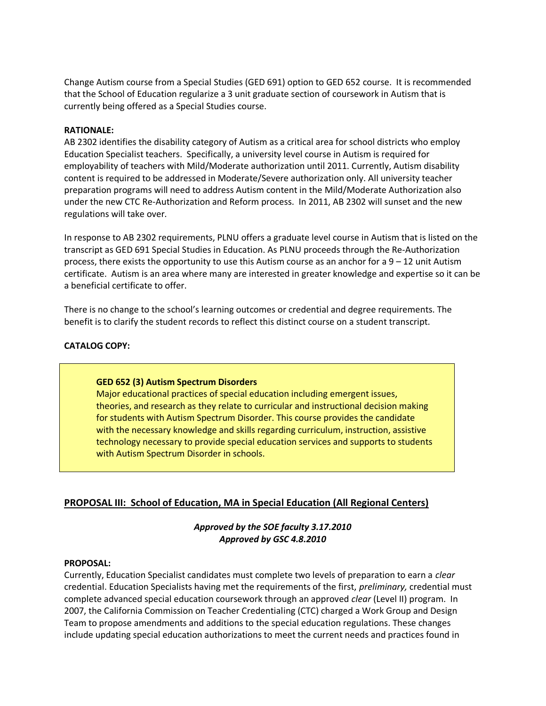Change Autism course from a Special Studies (GED 691) option to GED 652 course. It is recommended that the School of Education regularize a 3 unit graduate section of coursework in Autism that is currently being offered as a Special Studies course.

#### **RATIONALE:**

AB 2302 identifies the disability category of Autism as a critical area for school districts who employ Education Specialist teachers. Specifically, a university level course in Autism is required for employability of teachers with Mild/Moderate authorization until 2011. Currently, Autism disability content is required to be addressed in Moderate/Severe authorization only. All university teacher preparation programs will need to address Autism content in the Mild/Moderate Authorization also under the new CTC Re-Authorization and Reform process. In 2011, AB 2302 will sunset and the new regulations will take over.

In response to AB 2302 requirements, PLNU offers a graduate level course in Autism that is listed on the transcript as GED 691 Special Studies in Education. As PLNU proceeds through the Re-Authorization process, there exists the opportunity to use this Autism course as an anchor for a  $9 - 12$  unit Autism certificate. Autism is an area where many are interested in greater knowledge and expertise so it can be a beneficial certificate to offer.

There is no change to the school's learning outcomes or credential and degree requirements. The benefit is to clarify the student records to reflect this distinct course on a student transcript.

#### **CATALOG COPY:**

#### **GED 652 (3) Autism Spectrum Disorders**

Major educational practices of special education including emergent issues, theories, and research as they relate to curricular and instructional decision making for students with Autism Spectrum Disorder. This course provides the candidate with the necessary knowledge and skills regarding curriculum, instruction, assistive technology necessary to provide special education services and supports to students with Autism Spectrum Disorder in schools.

## **PROPOSAL III: School of Education, MA in Special Education (All Regional Centers)**

*Approved by the SOE faculty 3.17.2010 Approved by GSC 4.8.2010*

#### **PROPOSAL:**

Currently, Education Specialist candidates must complete two levels of preparation to earn a *clear* credential. Education Specialists having met the requirements of the first, *preliminary,* credential must complete advanced special education coursework through an approved *clear* (Level II) program. In 2007, the California Commission on Teacher Credentialing (CTC) charged a Work Group and Design Team to propose amendments and additions to the special education regulations. These changes include updating special education authorizations to meet the current needs and practices found in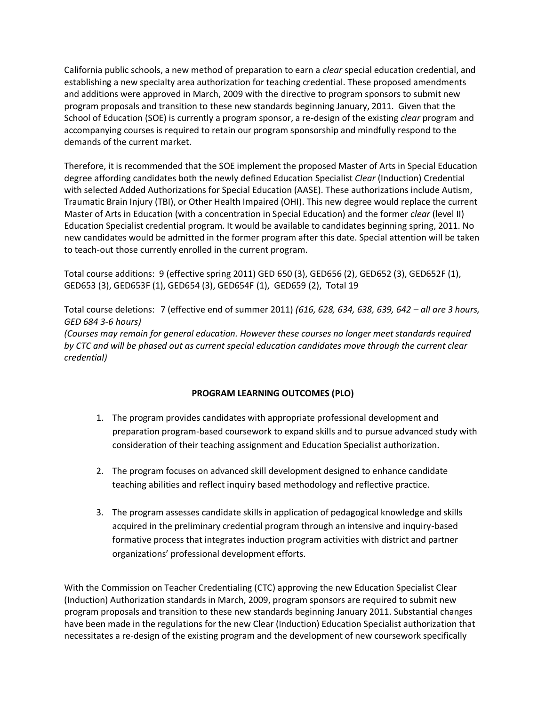California public schools, a new method of preparation to earn a *clear* special education credential, and establishing a new specialty area authorization for teaching credential. These proposed amendments and additions were approved in March, 2009 with the directive to program sponsors to submit new program proposals and transition to these new standards beginning January, 2011. Given that the School of Education (SOE) is currently a program sponsor, a re-design of the existing *clear* program and accompanying courses is required to retain our program sponsorship and mindfully respond to the demands of the current market.

Therefore, it is recommended that the SOE implement the proposed Master of Arts in Special Education degree affording candidates both the newly defined Education Specialist *Clear* (Induction) Credential with selected Added Authorizations for Special Education (AASE). These authorizations include Autism, Traumatic Brain Injury (TBI), or Other Health Impaired (OHI). This new degree would replace the current Master of Arts in Education (with a concentration in Special Education) and the former *clear* (level II) Education Specialist credential program. It would be available to candidates beginning spring, 2011. No new candidates would be admitted in the former program after this date. Special attention will be taken to teach-out those currently enrolled in the current program.

Total course additions: 9 (effective spring 2011) GED 650 (3), GED656 (2), GED652 (3), GED652F (1), GED653 (3), GED653F (1), GED654 (3), GED654F (1), GED659 (2), Total 19

Total course deletions: 7 (effective end of summer 2011) *(616, 628, 634, 638, 639, 642 – all are 3 hours, GED 684 3-6 hours) (Courses may remain for general education. However these courses no longer meet standards required by CTC and will be phased out as current special education candidates move through the current clear credential)*

#### **PROGRAM LEARNING OUTCOMES (PLO)**

- 1. The program provides candidates with appropriate professional development and preparation program-based coursework to expand skills and to pursue advanced study with consideration of their teaching assignment and Education Specialist authorization.
- 2. The program focuses on advanced skill development designed to enhance candidate teaching abilities and reflect inquiry based methodology and reflective practice.
- 3. The program assesses candidate skills in application of pedagogical knowledge and skills acquired in the preliminary credential program through an intensive and inquiry-based formative process that integrates induction program activities with district and partner organizations' professional development efforts.

With the Commission on Teacher Credentialing (CTC) approving the new Education Specialist Clear (Induction) Authorization standards in March, 2009, program sponsors are required to submit new program proposals and transition to these new standards beginning January 2011. Substantial changes have been made in the regulations for the new Clear (Induction) Education Specialist authorization that necessitates a re-design of the existing program and the development of new coursework specifically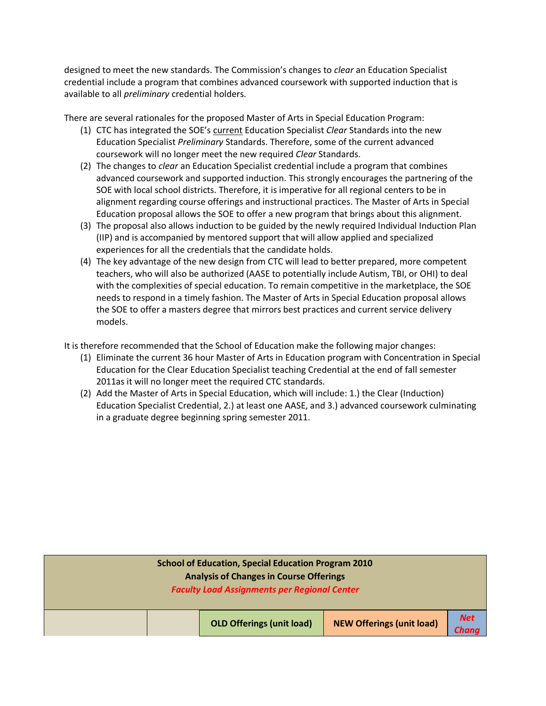designed to meet the new standards. The Commission's changes to *clear* an Education Specialist credential include a program that combines advanced coursework with supported induction that is available to all *preliminary* credential holders.

There are several rationales for the proposed Master of Arts in Special Education Program:

- (1) CTC has integrated the SOE's current Education Specialist *Clear* Standards into the new Education Specialist *Preliminary* Standards. Therefore, some of the current advanced coursework will no longer meet the new required *Clear* Standards.
- (2) The changes to *clear* an Education Specialist credential include a program that combines advanced coursework and supported induction. This strongly encourages the partnering of the SOE with local school districts. Therefore, it is imperative for all regional centers to be in alignment regarding course offerings and instructional practices. The Master of Arts in Special Education proposal allows the SOE to offer a new program that brings about this alignment.
- (3) The proposal also allows induction to be guided by the newly required Individual Induction Plan (IIP) and is accompanied by mentored support that will allow applied and specialized experiences for all the credentials that the candidate holds.
- (4) The key advantage of the new design from CTC will lead to better prepared, more competent teachers, who will also be authorized (AASE to potentially include Autism, TBI, or OHI) to deal with the complexities of special education. To remain competitive in the marketplace, the SOE needs to respond in a timely fashion. The Master of Arts in Special Education proposal allows the SOE to offer a masters degree that mirrors best practices and current service delivery models.

It is therefore recommended that the School of Education make the following major changes:

- (1) Eliminate the current 36 hour Master of Arts in Education program with Concentration in Special Education for the Clear Education Specialist teaching Credential at the end of fall semester 2011as it will no longer meet the required CTC standards.
- (2) Add the Master of Arts in Special Education, which will include: 1.) the Clear (Induction) Education Specialist Credential, 2.) at least one AASE, and 3.) advanced coursework culminating in a graduate degree beginning spring semester 2011.

| <b>School of Education, Special Education Program 2010</b><br><b>Analysis of Changes in Course Offerings</b><br><b>Faculty Load Assignments per Regional Center</b> |                                  |                                  |                     |  |  |
|---------------------------------------------------------------------------------------------------------------------------------------------------------------------|----------------------------------|----------------------------------|---------------------|--|--|
|                                                                                                                                                                     | <b>OLD Offerings (unit load)</b> | <b>NEW Offerings (unit load)</b> | <b>Net</b><br>Chang |  |  |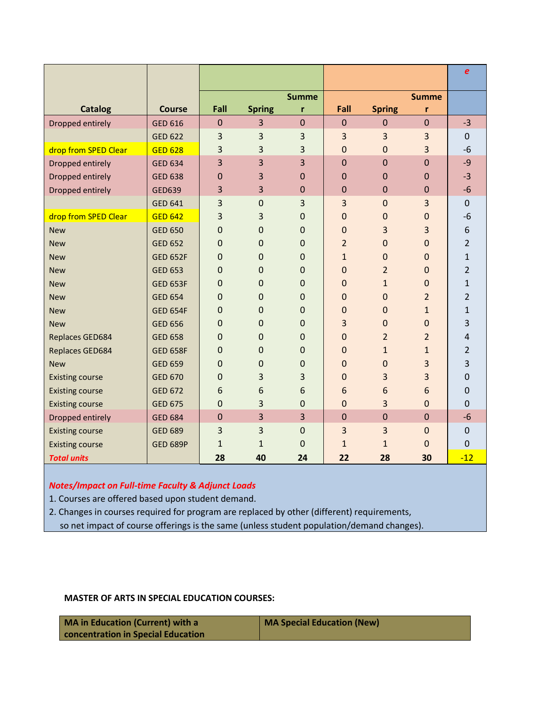|                        |                 |                |               |                |                |                |                | $\boldsymbol{e}$ |
|------------------------|-----------------|----------------|---------------|----------------|----------------|----------------|----------------|------------------|
|                        |                 |                |               | <b>Summe</b>   |                |                | <b>Summe</b>   |                  |
| <b>Catalog</b>         | <b>Course</b>   | Fall           | <b>Spring</b> | r              | Fall           | <b>Spring</b>  | r              |                  |
| Dropped entirely       | <b>GED 616</b>  | $\mathbf 0$    | 3             | $\mathbf{0}$   | $\theta$       | $\mathbf{0}$   | $\mathbf{0}$   | $-3$             |
|                        | <b>GED 622</b>  | 3              | 3             | 3              | 3              | 3              | 3              | $\mathbf 0$      |
| drop from SPED Clear   | <b>GED 628</b>  | 3              | 3             | 3              | $\mathbf{0}$   | $\mathbf 0$    | 3              | $-6$             |
| Dropped entirely       | <b>GED 634</b>  | 3              | 3             | $\overline{3}$ | $\overline{0}$ | $\overline{0}$ | $\overline{0}$ | $-9$             |
| Dropped entirely       | <b>GED 638</b>  | 0              | 3             | $\Omega$       | 0              | $\mathbf 0$    | 0              | $-3$             |
| Dropped entirely       | <b>GED639</b>   | 3              | 3             | $\mathbf 0$    | $\mathbf{0}$   | $\mathbf 0$    | $\mathbf{0}$   | $-6$             |
|                        | <b>GED 641</b>  | 3              | $\mathbf 0$   | 3              | 3              | $\mathbf 0$    | 3              | $\mathbf 0$      |
| drop from SPED Clear   | <b>GED 642</b>  | 3              | 3             | $\overline{0}$ | 0              | $\mathbf 0$    | $\overline{0}$ | $-6$             |
| <b>New</b>             | <b>GED 650</b>  | $\overline{0}$ | $\Omega$      | $\Omega$       | $\Omega$       | 3              | 3              | 6                |
| <b>New</b>             | <b>GED 652</b>  | 0              | 0             | 0              | $\overline{2}$ | $\mathbf 0$    | $\mathbf 0$    | $\overline{2}$   |
| <b>New</b>             | <b>GED 652F</b> | $\overline{0}$ | 0             | $\Omega$       | $\mathbf{1}$   | $\overline{0}$ | 0              | $\mathbf{1}$     |
| <b>New</b>             | <b>GED 653</b>  | $\overline{0}$ | $\Omega$      | $\Omega$       | $\Omega$       | $\overline{2}$ | 0              | 2                |
| <b>New</b>             | <b>GED 653F</b> | $\overline{0}$ | $\Omega$      | $\Omega$       | $\Omega$       | $\mathbf{1}$   | 0              | $\mathbf{1}$     |
| <b>New</b>             | <b>GED 654</b>  | 0              | 0             | 0              | 0              | $\mathbf 0$    | $\overline{2}$ | 2                |
| <b>New</b>             | <b>GED 654F</b> | 0              | 0             | 0              | $\mathbf{0}$   | $\mathbf 0$    | $\mathbf{1}$   | $\mathbf{1}$     |
| <b>New</b>             | <b>GED 656</b>  | $\overline{0}$ | 0             | $\Omega$       | 3              | $\mathbf 0$    | 0              | 3                |
| Replaces GED684        | <b>GED 658</b>  | $\overline{0}$ | $\Omega$      | $\Omega$       | $\Omega$       | $\overline{2}$ | $\overline{2}$ | $\overline{4}$   |
| Replaces GED684        | <b>GED 658F</b> | 0              | 0             | $\mathbf 0$    | $\mathbf{0}$   | $\mathbf{1}$   | $\mathbf{1}$   | $\overline{2}$   |
| <b>New</b>             | <b>GED 659</b>  | $\mathbf 0$    | 0             | $\mathbf 0$    | $\mathbf{0}$   | $\mathbf 0$    | 3              | 3                |
| <b>Existing course</b> | <b>GED 670</b>  | $\Omega$       | 3             | 3              | $\mathbf{0}$   | 3              | 3              | $\mathbf 0$      |
| <b>Existing course</b> | <b>GED 672</b>  | 6              | 6             | 6              | 6              | 6              | 6              | $\Omega$         |
| <b>Existing course</b> | <b>GED 675</b>  | $\overline{0}$ | 3             | $\overline{0}$ | $\Omega$       | 3              | $\overline{0}$ | $\overline{0}$   |
| Dropped entirely       | <b>GED 684</b>  | $\mathbf 0$    | 3             | 3              | $\mathbf 0$    | $\mathbf 0$    | $\mathbf 0$    | $-6$             |
| <b>Existing course</b> | <b>GED 689</b>  | 3              | 3             | $\overline{0}$ | 3              | 3              | $\mathbf 0$    | $\mathbf 0$      |
| <b>Existing course</b> | <b>GED 689P</b> | $\mathbf{1}$   | $\mathbf{1}$  | $\overline{0}$ | $\mathbf{1}$   | $\mathbf{1}$   | $\overline{0}$ | $\mathbf 0$      |
| <b>Total units</b>     |                 | 28             | 40            | 24             | 22             | 28             | 30             | $-12$            |

## *Notes/Impact on Full-time Faculty & Adjunct Loads*

1. Courses are offered based upon student demand.

2. Changes in courses required for program are replaced by other (different) requirements,

so net impact of course offerings is the same (unless student population/demand changes).

## **MASTER OF ARTS IN SPECIAL EDUCATION COURSES:**

| MA in Education (Current) with a          | MA Special Education (New) |
|-------------------------------------------|----------------------------|
| <b>concentration in Special Education</b> |                            |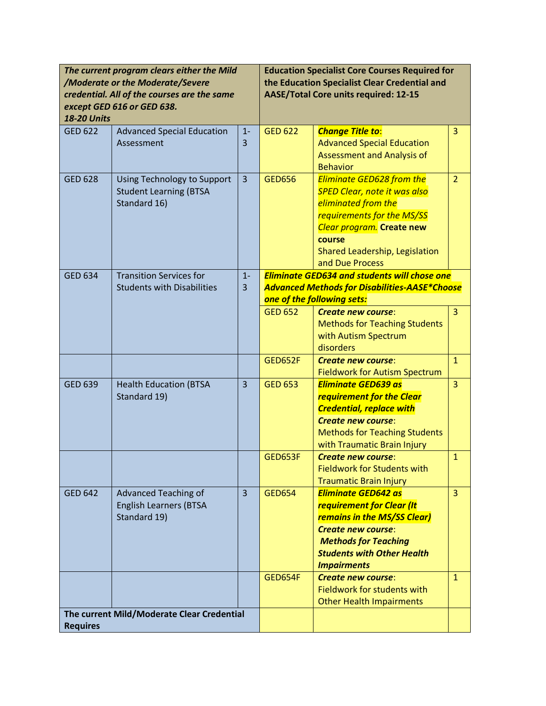| The current program clears either the Mild<br>/Moderate or the Moderate/Severe<br>credential. All of the courses are the same<br>except GED 616 or GED 638.<br><b>18-20 Units</b> |                                                                              | <b>Education Specialist Core Courses Required for</b><br>the Education Specialist Clear Credential and<br><b>AASE/Total Core units required: 12-15</b> |                                                                                                                                           |                                                                                                                                                                                                                          |                |
|-----------------------------------------------------------------------------------------------------------------------------------------------------------------------------------|------------------------------------------------------------------------------|--------------------------------------------------------------------------------------------------------------------------------------------------------|-------------------------------------------------------------------------------------------------------------------------------------------|--------------------------------------------------------------------------------------------------------------------------------------------------------------------------------------------------------------------------|----------------|
| <b>GED 622</b>                                                                                                                                                                    | <b>Advanced Special Education</b><br>Assessment                              | $1 -$<br>3                                                                                                                                             | <b>GED 622</b>                                                                                                                            | <b>Change Title to:</b><br><b>Advanced Special Education</b><br>Assessment and Analysis of<br><b>Behavior</b>                                                                                                            | 3              |
| <b>GED 628</b>                                                                                                                                                                    | Using Technology to Support<br><b>Student Learning (BTSA</b><br>Standard 16) | $\overline{3}$                                                                                                                                         | <b>GED656</b>                                                                                                                             | <b>Eliminate GED628 from the</b><br><b>SPED Clear, note it was also</b><br>eliminated from the<br>requirements for the MS/SS<br>Clear program. Create new<br>course<br>Shared Leadership, Legislation<br>and Due Process | $\overline{2}$ |
| <b>GED 634</b>                                                                                                                                                                    | <b>Transition Services for</b><br><b>Students with Disabilities</b>          | $1 -$<br>3                                                                                                                                             | <b>Eliminate GED634 and students will chose one</b><br><b>Advanced Methods for Disabilities-AASE*Choose</b><br>one of the following sets: |                                                                                                                                                                                                                          |                |
|                                                                                                                                                                                   |                                                                              |                                                                                                                                                        | <b>GED 652</b>                                                                                                                            | Create new course:<br><b>Methods for Teaching Students</b><br>with Autism Spectrum<br>disorders                                                                                                                          | 3              |
|                                                                                                                                                                                   |                                                                              |                                                                                                                                                        | <b>GED652F</b>                                                                                                                            | <b>Create new course:</b><br><b>Fieldwork for Autism Spectrum</b>                                                                                                                                                        | $\mathbf{1}$   |
| <b>GED 639</b>                                                                                                                                                                    | <b>Health Education (BTSA</b><br>Standard 19)                                | 3                                                                                                                                                      | <b>GED 653</b>                                                                                                                            | <b>Eliminate GED639 as</b><br>requirement for the Clear<br><b>Credential, replace with</b><br><b>Create new course:</b><br><b>Methods for Teaching Students</b><br>with Traumatic Brain Injury                           | 3              |
|                                                                                                                                                                                   |                                                                              |                                                                                                                                                        | <b>GED653F</b>                                                                                                                            | <b>Create new course:</b><br><b>Fieldwork for Students with</b><br><b>Traumatic Brain Injury</b>                                                                                                                         | $\mathbf{1}$   |
| <b>GED 642</b>                                                                                                                                                                    | Advanced Teaching of<br><b>English Learners (BTSA</b><br>Standard 19)        | $\overline{3}$                                                                                                                                         | <b>GED654</b>                                                                                                                             | <b>Eliminate GED642 as</b><br>requirement for Clear (It<br><b>remains in the MS/SS Clear)</b><br><b>Create new course:</b><br><b>Methods for Teaching</b><br><b>Students with Other Health</b><br><b>Impairments</b>     | $\overline{3}$ |
|                                                                                                                                                                                   |                                                                              |                                                                                                                                                        | <b>GED654F</b>                                                                                                                            | <b>Create new course:</b><br>Fieldwork for students with<br><b>Other Health Impairments</b>                                                                                                                              | $\mathbf{1}$   |
| The current Mild/Moderate Clear Credential<br><b>Requires</b>                                                                                                                     |                                                                              |                                                                                                                                                        |                                                                                                                                           |                                                                                                                                                                                                                          |                |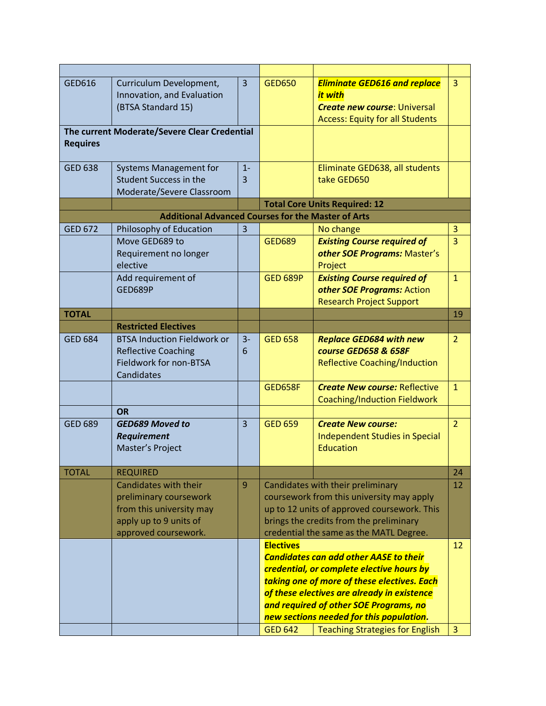| GED616          | Curriculum Development,<br>Innovation, and Evaluation<br>(BTSA Standard 15)                                                   | $\overline{3}$ | <b>GED650</b>                                                                                                                                                                                                                                                                  | <b>Eliminate GED616 and replace</b><br>it with<br><b>Create new course: Universal</b><br><b>Access: Equity for all Students</b> | $\overline{3}$ |
|-----------------|-------------------------------------------------------------------------------------------------------------------------------|----------------|--------------------------------------------------------------------------------------------------------------------------------------------------------------------------------------------------------------------------------------------------------------------------------|---------------------------------------------------------------------------------------------------------------------------------|----------------|
| <b>Requires</b> | The current Moderate/Severe Clear Credential                                                                                  |                |                                                                                                                                                                                                                                                                                |                                                                                                                                 |                |
| <b>GED 638</b>  | <b>Systems Management for</b><br><b>Student Success in the</b><br>Moderate/Severe Classroom                                   | $1 -$<br>3     |                                                                                                                                                                                                                                                                                | Eliminate GED638, all students<br>take GED650                                                                                   |                |
|                 |                                                                                                                               |                |                                                                                                                                                                                                                                                                                | <b>Total Core Units Required: 12</b>                                                                                            |                |
|                 | <b>Additional Advanced Courses for the Master of Arts</b>                                                                     |                |                                                                                                                                                                                                                                                                                |                                                                                                                                 |                |
| <b>GED 672</b>  | Philosophy of Education                                                                                                       | $\overline{3}$ |                                                                                                                                                                                                                                                                                | No change                                                                                                                       | 3              |
|                 | Move GED689 to<br>Requirement no longer<br>elective                                                                           |                | <b>GED689</b>                                                                                                                                                                                                                                                                  | <b>Existing Course required of</b><br>other SOE Programs: Master's<br>Project                                                   | $\overline{3}$ |
|                 | Add requirement of<br>GED689P                                                                                                 |                | <b>GED 689P</b>                                                                                                                                                                                                                                                                | <b>Existing Course required of</b><br>other SOE Programs: Action<br><b>Research Project Support</b>                             | $\mathbf{1}$   |
| <b>TOTAL</b>    |                                                                                                                               |                |                                                                                                                                                                                                                                                                                |                                                                                                                                 | 19             |
|                 | <b>Restricted Electives</b>                                                                                                   |                |                                                                                                                                                                                                                                                                                |                                                                                                                                 |                |
| <b>GED 684</b>  | <b>BTSA Induction Fieldwork or</b><br><b>Reflective Coaching</b><br>Fieldwork for non-BTSA<br>Candidates                      | $3-$<br>6      | <b>GED 658</b>                                                                                                                                                                                                                                                                 | <b>Replace GED684 with new</b><br>course GED658 & 658F<br><b>Reflective Coaching/Induction</b>                                  | $\overline{2}$ |
|                 |                                                                                                                               |                | <b>Create New course: Reflective</b><br><b>GED658F</b><br>Coaching/Induction Fieldwork                                                                                                                                                                                         |                                                                                                                                 | $\mathbf{1}$   |
|                 | <b>OR</b>                                                                                                                     |                |                                                                                                                                                                                                                                                                                |                                                                                                                                 |                |
| <b>GED 689</b>  | <b>GED689 Moved to</b><br><b>Requirement</b><br>Master's Project                                                              | $\overline{3}$ | <b>GED 659</b>                                                                                                                                                                                                                                                                 | <b>Create New course:</b><br>Independent Studies in Special<br>Education                                                        | $\overline{2}$ |
| <b>TOTAL</b>    | <b>REQUIRED</b>                                                                                                               |                |                                                                                                                                                                                                                                                                                |                                                                                                                                 | 24             |
|                 | Candidates with their<br>preliminary coursework<br>from this university may<br>apply up to 9 units of<br>approved coursework. | 9              | Candidates with their preliminary<br>coursework from this university may apply<br>up to 12 units of approved coursework. This<br>brings the credits from the preliminary<br>credential the same as the MATL Degree.                                                            |                                                                                                                                 | 12             |
|                 |                                                                                                                               |                | <b>Electives</b>                                                                                                                                                                                                                                                               |                                                                                                                                 | 12             |
|                 |                                                                                                                               |                | <b>Candidates can add other AASE to their</b><br>credential, or complete elective hours by<br>taking one of more of these electives. Each<br>of these electives are already in existence<br>and required of other SOE Programs, no<br>new sections needed for this population. |                                                                                                                                 |                |
|                 |                                                                                                                               |                | <b>GED 642</b>                                                                                                                                                                                                                                                                 | <b>Teaching Strategies for English</b>                                                                                          | $\overline{3}$ |
|                 |                                                                                                                               |                |                                                                                                                                                                                                                                                                                |                                                                                                                                 |                |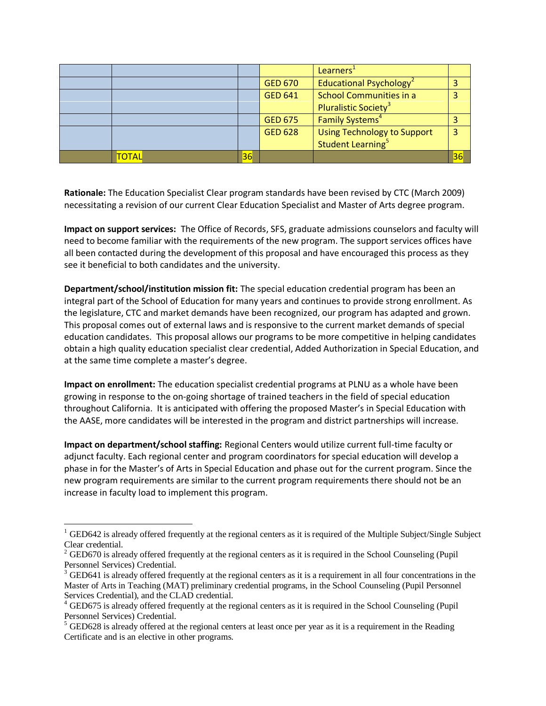|       |    |                | Learners'                                                           |    |
|-------|----|----------------|---------------------------------------------------------------------|----|
|       |    | <b>GED 670</b> | Educational Psychology <sup>2</sup>                                 |    |
|       |    | <b>GED 641</b> | <b>School Communities in a</b><br>Pluralistic Society <sup>3</sup>  |    |
|       |    | <b>GED 675</b> | Family Systems <sup>4</sup>                                         |    |
|       |    | <b>GED 628</b> | <b>Using Technology to Support</b><br>Student Learning <sup>5</sup> | 3  |
| TOTAL | 36 |                |                                                                     | 36 |

**Rationale:** The Education Specialist Clear program standards have been revised by CTC (March 2009) necessitating a revision of our current Clear Education Specialist and Master of Arts degree program.

**Impact on support services:** The Office of Records, SFS, graduate admissions counselors and faculty will need to become familiar with the requirements of the new program. The support services offices have all been contacted during the development of this proposal and have encouraged this process as they see it beneficial to both candidates and the university.

**Department/school/institution mission fit:** The special education credential program has been an integral part of the School of Education for many years and continues to provide strong enrollment. As the legislature, CTC and market demands have been recognized, our program has adapted and grown. This proposal comes out of external laws and is responsive to the current market demands of special education candidates. This proposal allows our programs to be more competitive in helping candidates obtain a high quality education specialist clear credential, Added Authorization in Special Education, and at the same time complete a master's degree.

**Impact on enrollment:** The education specialist credential programs at PLNU as a whole have been growing in response to the on-going shortage of trained teachers in the field of special education throughout California. It is anticipated with offering the proposed Master's in Special Education with the AASE, more candidates will be interested in the program and district partnerships will increase.

**Impact on department/school staffing:** Regional Centers would utilize current full-time faculty or adjunct faculty. Each regional center and program coordinators for special education will develop a phase in for the Master's of Arts in Special Education and phase out for the current program. Since the new program requirements are similar to the current program requirements there should not be an increase in faculty load to implement this program.

 $\overline{a}$  $1$  GED642 is already offered frequently at the regional centers as it is required of the Multiple Subject/Single Subject Clear credential.

 $2$  GED670 is already offered frequently at the regional centers as it is required in the School Counseling (Pupil Personnel Services) Credential.

 $3$  GED641 is already offered frequently at the regional centers as it is a requirement in all four concentrations in the Master of Arts in Teaching (MAT) preliminary credential programs, in the School Counseling (Pupil Personnel Services Credential), and the CLAD credential.

 $4$  GED675 is already offered frequently at the regional centers as it is required in the School Counseling (Pupil Personnel Services) Credential.

<sup>&</sup>lt;sup>5</sup> GED628 is already offered at the regional centers at least once per year as it is a requirement in the Reading Certificate and is an elective in other programs.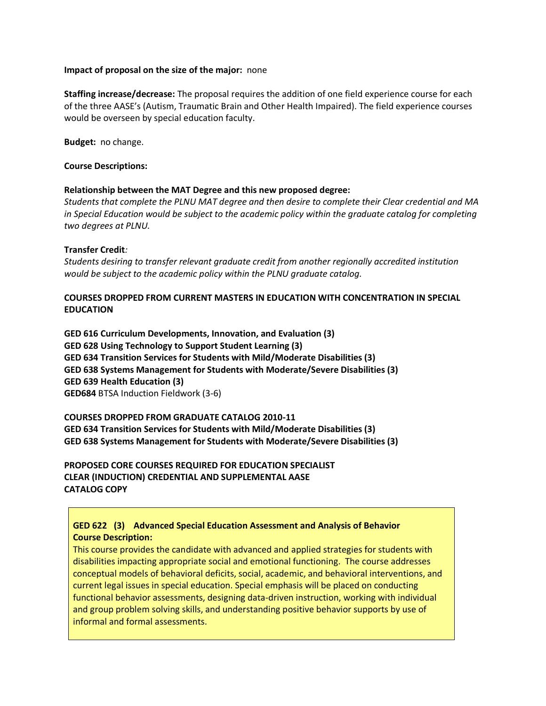#### **Impact of proposal on the size of the major:** none

**Staffing increase/decrease:** The proposal requires the addition of one field experience course for each of the three AASE's (Autism, Traumatic Brain and Other Health Impaired). The field experience courses would be overseen by special education faculty.

**Budget:** no change.

#### **Course Descriptions:**

#### **Relationship between the MAT Degree and this new proposed degree:**

*Students that complete the PLNU MAT degree and then desire to complete their Clear credential and MA in Special Education would be subject to the academic policy within the graduate catalog for completing two degrees at PLNU.* 

#### **Transfer Credit***:*

*Students desiring to transfer relevant graduate credit from another regionally accredited institution would be subject to the academic policy within the PLNU graduate catalog.*

### **COURSES DROPPED FROM CURRENT MASTERS IN EDUCATION WITH CONCENTRATION IN SPECIAL EDUCATION**

**GED 616 Curriculum Developments, Innovation, and Evaluation (3) GED 628 Using Technology to Support Student Learning (3) GED 634 Transition Services for Students with Mild/Moderate Disabilities (3) GED 638 Systems Management for Students with Moderate/Severe Disabilities (3) GED 639 Health Education (3) GED684** BTSA Induction Fieldwork (3-6)

**COURSES DROPPED FROM GRADUATE CATALOG 2010-11 GED 634 Transition Services for Students with Mild/Moderate Disabilities (3) GED 638 Systems Management for Students with Moderate/Severe Disabilities (3)**

**PROPOSED CORE COURSES REQUIRED FOR EDUCATION SPECIALIST CLEAR (INDUCTION) CREDENTIAL AND SUPPLEMENTAL AASE CATALOG COPY**

## **GED 622 (3) Advanced Special Education Assessment and Analysis of Behavior Course Description:**

This course provides the candidate with advanced and applied strategies for students with disabilities impacting appropriate social and emotional functioning. The course addresses conceptual models of behavioral deficits, social, academic, and behavioral interventions, and current legal issues in special education. Special emphasis will be placed on conducting functional behavior assessments, designing data-driven instruction, working with individual and group problem solving skills, and understanding positive behavior supports by use of informal and formal assessments.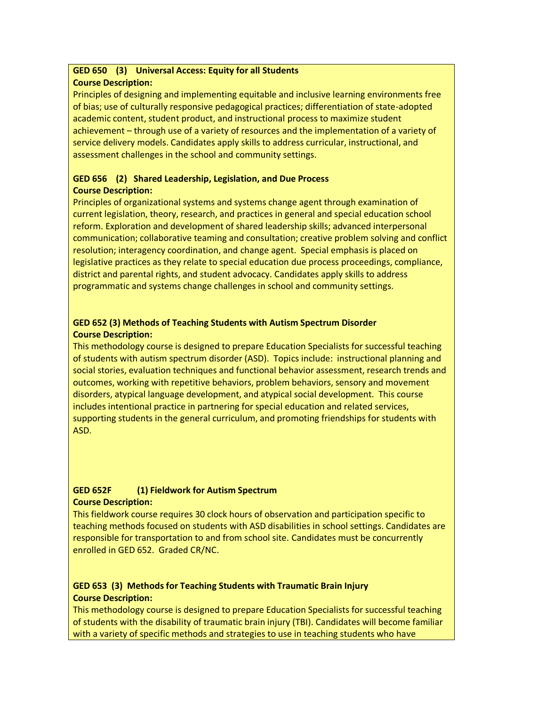# **GED 650 (3) Universal Access: Equity for all Students**

## **Course Description:**

Principles of designing and implementing equitable and inclusive learning environments free of bias; use of culturally responsive pedagogical practices; differentiation of state-adopted academic content, student product, and instructional process to maximize student achievement – through use of a variety of resources and the implementation of a variety of service delivery models. Candidates apply skills to address curricular, instructional, and assessment challenges in the school and community settings.

## **GED 656 (2) Shared Leadership, Legislation, and Due Process Course Description:**

Principles of organizational systems and systems change agent through examination of current legislation, theory, research, and practices in general and special education school reform. Exploration and development of shared leadership skills; advanced interpersonal communication; collaborative teaming and consultation; creative problem solving and conflict resolution; interagency coordination, and change agent. Special emphasis is placed on legislative practices as they relate to special education due process proceedings, compliance, district and parental rights, and student advocacy. Candidates apply skills to address programmatic and systems change challenges in school and community settings.

## **GED 652 (3) Methods of Teaching Students with Autism Spectrum Disorder Course Description:**

This methodology course is designed to prepare Education Specialists for successful teaching of students with autism spectrum disorder (ASD). Topics include: instructional planning and social stories, evaluation techniques and functional behavior assessment, research trends and outcomes, working with repetitive behaviors, problem behaviors, sensory and movement disorders, atypical language development, and atypical social development. This course includes intentional practice in partnering for special education and related services, supporting students in the general curriculum, and promoting friendships for students with ASD.

## **GED 652F (1) Fieldwork for Autism Spectrum Course Description:**

This fieldwork course requires 30 clock hours of observation and participation specific to teaching methods focused on students with ASD disabilities in school settings. Candidates are responsible for transportation to and from school site. Candidates must be concurrently enrolled in GED 652. Graded CR/NC.

## **GED 653 (3) Methods for Teaching Students with Traumatic Brain Injury Course Description:**

This methodology course is designed to prepare Education Specialists for successful teaching of students with the disability of traumatic brain injury (TBI). Candidates will become familiar with a variety of specific methods and strategies to use in teaching students who have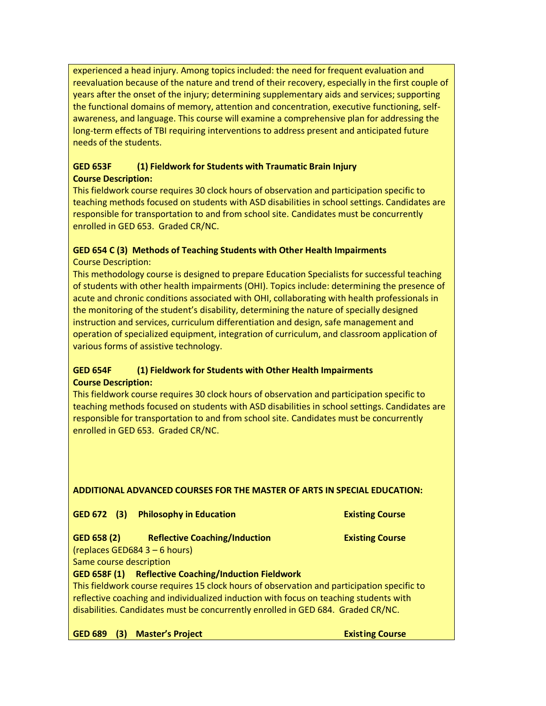experienced a head injury. Among topics included: the need for frequent evaluation and reevaluation because of the nature and trend of their recovery, especially in the first couple of years after the onset of the injury; determining supplementary aids and services; supporting the functional domains of memory, attention and concentration, executive functioning, selfawareness, and language. This course will examine a comprehensive plan for addressing the long-term effects of TBI requiring interventions to address present and anticipated future needs of the students.

## **GED 653F (1) Fieldwork for Students with Traumatic Brain Injury Course Description:**

This fieldwork course requires 30 clock hours of observation and participation specific to teaching methods focused on students with ASD disabilities in school settings. Candidates are responsible for transportation to and from school site. Candidates must be concurrently enrolled in GED 653. Graded CR/NC.

# **GED 654 C (3) Methods of Teaching Students with Other Health Impairments**

Course Description:

This methodology course is designed to prepare Education Specialists for successful teaching of students with other health impairments (OHI). Topics include: determining the presence of acute and chronic conditions associated with OHI, collaborating with health professionals in the monitoring of the student's disability, determining the nature of specially designed instruction and services, curriculum differentiation and design, safe management and operation of specialized equipment, integration of curriculum, and classroom application of various forms of assistive technology.

## **GED 654F (1) Fieldwork for Students with Other Health Impairments Course Description:**

This fieldwork course requires 30 clock hours of observation and participation specific to teaching methods focused on students with ASD disabilities in school settings. Candidates are responsible for transportation to and from school site. Candidates must be concurrently enrolled in GED 653. Graded CR/NC.

## **ADDITIONAL ADVANCED COURSES FOR THE MASTER OF ARTS IN SPECIAL EDUCATION:**

GED 672 (3) Philosophy in Education **Existing Course** 

## **GED 658 (2) Reflective Coaching/Induction Existing Course**

(replaces GED684 3 – 6 hours)

Same course description

## **GED 658F (1) Reflective Coaching/Induction Fieldwork**

This fieldwork course requires 15 clock hours of observation and participation specific to reflective coaching and individualized induction with focus on teaching students with disabilities. Candidates must be concurrently enrolled in GED 684. Graded CR/NC.

**GED 689 (3) Master's Project <b>Existing Course** Existing Course